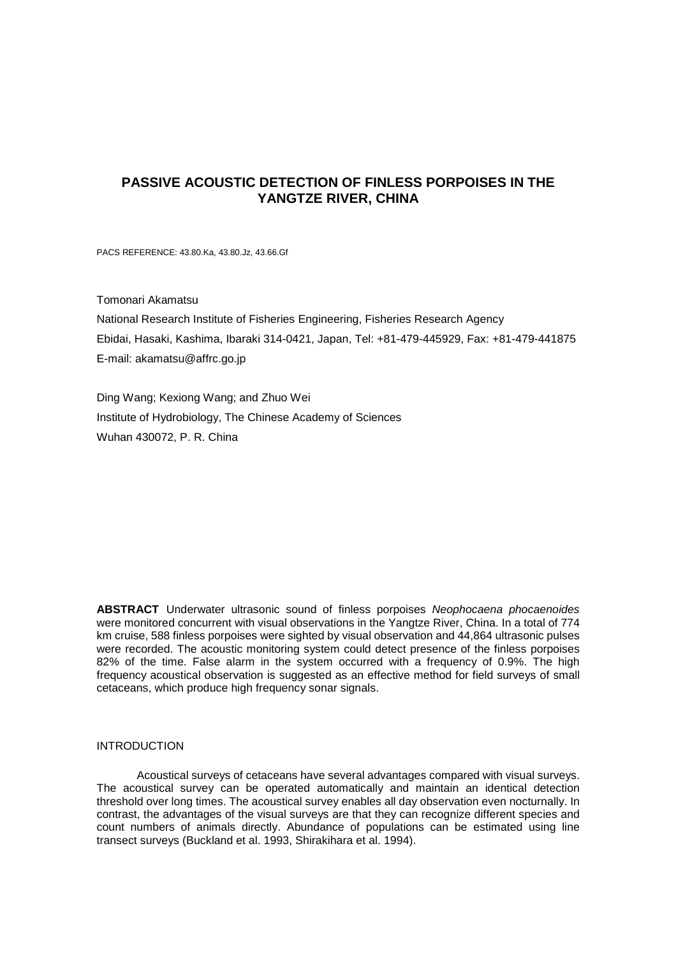# **PASSIVE ACOUSTIC DETECTION OF FINLESS PORPOISES IN THE YANGTZE RIVER, CHINA**

PACS REFERENCE: 43.80.Ka, 43.80.Jz, 43.66.Gf

Tomonari Akamatsu

National Research Institute of Fisheries Engineering, Fisheries Research Agency Ebidai, Hasaki, Kashima, Ibaraki 314-0421, Japan, Tel: +81-479-445929, Fax: +81-479-441875 E-mail: akamatsu@affrc.go.jp

Ding Wang; Kexiong Wang; and Zhuo Wei Institute of Hydrobiology, The Chinese Academy of Sciences Wuhan 430072, P. R. China

**ABSTRACT** Underwater ultrasonic sound of finless porpoises *Neophocaena phocaenoides* were monitored concurrent with visual observations in the Yangtze River, China. In a total of 774 km cruise, 588 finless porpoises were sighted by visual observation and 44,864 ultrasonic pulses were recorded. The acoustic monitoring system could detect presence of the finless porpoises 82% of the time. False alarm in the system occurred with a frequency of 0.9%. The high frequency acoustical observation is suggested as an effective method for field surveys of small cetaceans, which produce high frequency sonar signals.

# **INTRODUCTION**

Acoustical surveys of cetaceans have several advantages compared with visual surveys. The acoustical survey can be operated automatically and maintain an identical detection threshold over long times. The acoustical survey enables all day observation even nocturnally. In contrast, the advantages of the visual surveys are that they can recognize different species and count numbers of animals directly. Abundance of populations can be estimated using line transect surveys (Buckland et al. 1993, Shirakihara et al. 1994).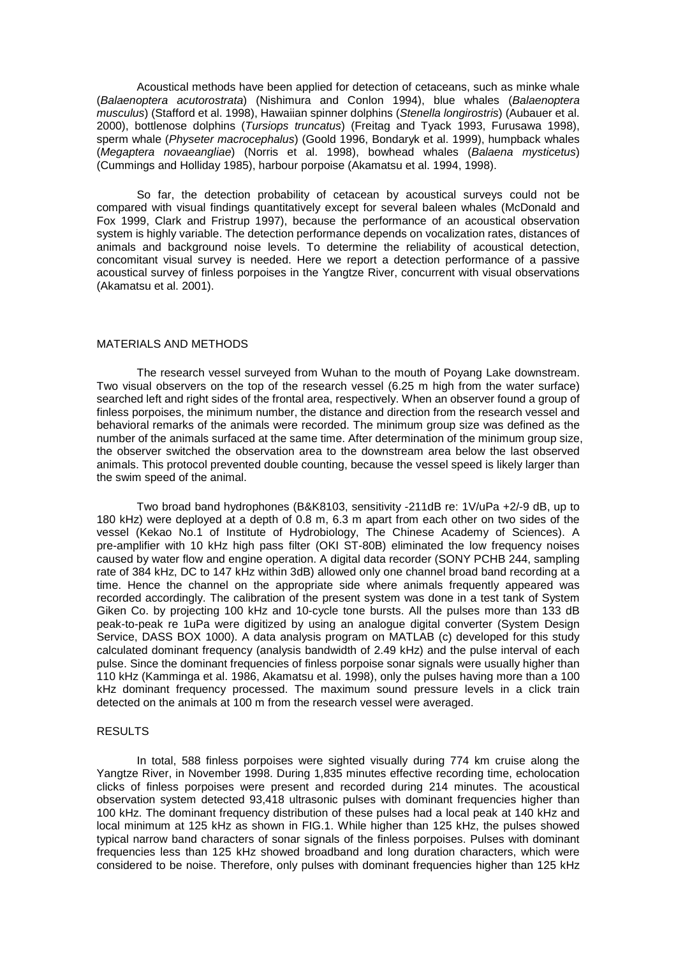Acoustical methods have been applied for detection of cetaceans, such as minke whale (*Balaenoptera acutorostrata*) (Nishimura and Conlon 1994), blue whales (*Balaenoptera musculus*) (Stafford et al. 1998), Hawaiian spinner dolphins (*Stenella longirostris*) (Aubauer et al. 2000), bottlenose dolphins (*Tursiops truncatus*) (Freitag and Tyack 1993, Furusawa 1998), sperm whale (*Physeter macrocephalus*) (Goold 1996, Bondaryk et al. 1999), humpback whales (*Megaptera novaeangliae*) (Norris et al. 1998), bowhead whales (*Balaena mysticetus*) (Cummings and Holliday 1985), harbour porpoise (Akamatsu et al. 1994, 1998).

So far, the detection probability of cetacean by acoustical surveys could not be compared with visual findings quantitatively except for several baleen whales (McDonald and Fox 1999, Clark and Fristrup 1997), because the performance of an acoustical observation system is highly variable. The detection performance depends on vocalization rates, distances of animals and background noise levels. To determine the reliability of acoustical detection, concomitant visual survey is needed. Here we report a detection performance of a passive acoustical survey of finless porpoises in the Yangtze River, concurrent with visual observations (Akamatsu et al. 2001).

## MATERIALS AND METHODS

The research vessel surveyed from Wuhan to the mouth of Poyang Lake downstream. Two visual observers on the top of the research vessel (6.25 m high from the water surface) searched left and right sides of the frontal area, respectively. When an observer found a group of finless porpoises, the minimum number, the distance and direction from the research vessel and behavioral remarks of the animals were recorded. The minimum group size was defined as the number of the animals surfaced at the same time. After determination of the minimum group size, the observer switched the observation area to the downstream area below the last observed animals. This protocol prevented double counting, because the vessel speed is likely larger than the swim speed of the animal.

Two broad band hydrophones (B&K8103, sensitivity -211dB re: 1V/uPa +2/-9 dB, up to 180 kHz) were deployed at a depth of 0.8 m, 6.3 m apart from each other on two sides of the vessel (Kekao No.1 of Institute of Hydrobiology, The Chinese Academy of Sciences). A pre-amplifier with 10 kHz high pass filter (OKI ST-80B) eliminated the low frequency noises caused by water flow and engine operation. A digital data recorder (SONY PCHB 244, sampling rate of 384 kHz, DC to 147 kHz within 3dB) allowed only one channel broad band recording at a time. Hence the channel on the appropriate side where animals frequently appeared was recorded accordingly. The calibration of the present system was done in a test tank of System Giken Co. by projecting 100 kHz and 10-cycle tone bursts. All the pulses more than 133 dB peak-to-peak re 1uPa were digitized by using an analogue digital converter (System Design Service, DASS BOX 1000). A data analysis program on MATLAB (c) developed for this study calculated dominant frequency (analysis bandwidth of 2.49 kHz) and the pulse interval of each pulse. Since the dominant frequencies of finless porpoise sonar signals were usually higher than 110 kHz (Kamminga et al. 1986, Akamatsu et al. 1998), only the pulses having more than a 100 kHz dominant frequency processed. The maximum sound pressure levels in a click train detected on the animals at 100 m from the research vessel were averaged.

# RESULTS

In total, 588 finless porpoises were sighted visually during 774 km cruise along the Yangtze River, in November 1998. During 1,835 minutes effective recording time, echolocation clicks of finless porpoises were present and recorded during 214 minutes. The acoustical observation system detected 93,418 ultrasonic pulses with dominant frequencies higher than 100 kHz. The dominant frequency distribution of these pulses had a local peak at 140 kHz and local minimum at 125 kHz as shown in FIG.1. While higher than 125 kHz, the pulses showed typical narrow band characters of sonar signals of the finless porpoises. Pulses with dominant frequencies less than 125 kHz showed broadband and long duration characters, which were considered to be noise. Therefore, only pulses with dominant frequencies higher than 125 kHz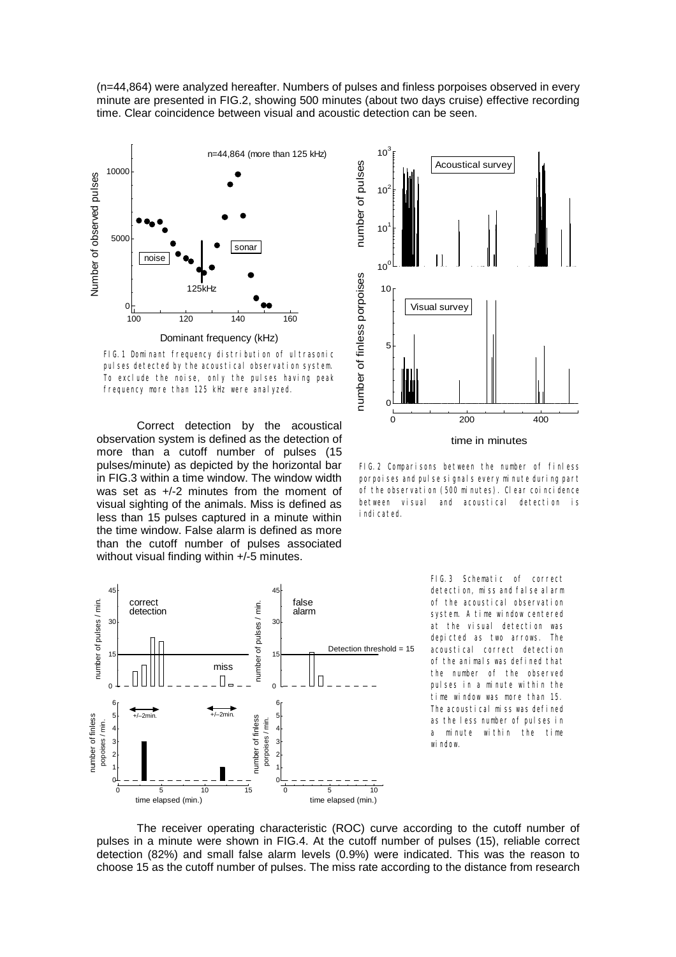(n=44,864) were analyzed hereafter. Numbers of pulses and finless porpoises observed in every minute are presented in FIG.2, showing 500 minutes (about two days cruise) effective recording time. Clear coincidence between visual and acoustic detection can be seen.



FIG.1 Dominant frequency distribution of ultrasonic pulses detected by the acoustical observation system. To exclude the noise, only the pulses having peak frequency more than 125 kHz were analyzed.

Correct detection by the acoustical observation system is defined as the detection of more than a cutoff number of pulses (15 pulses/minute) as depicted by the horizontal bar in FIG.3 within a time window. The window width was set as +/-2 minutes from the moment of visual sighting of the animals. Miss is defined as less than 15 pulses captured in a minute within the time window. False alarm is defined as more than the cutoff number of pulses associated without visual finding within  $+/-5$  minutes.



FIG.2 Comparisons between the number of finless porpoises and pulse signals every minute during part of the observation (500 minutes). Clear coincidence between visual and acoustical detection is indicated.



FIG.3 Schematic of correct detection, miss and false alarm of the acoustical observation system. A time window centered at the visual detection was depicted as two arrows. The acoustical correct detection of the animals was defined that the number of the observed pulses in a minute within the time window was more than 15. The acoustical miss was defined as the less number of pulses in a minute within the time window.

The receiver operating characteristic (ROC) curve according to the cutoff number of pulses in a minute were shown in FIG.4. At the cutoff number of pulses (15), reliable correct detection (82%) and small false alarm levels (0.9%) were indicated. This was the reason to choose 15 as the cutoff number of pulses. The miss rate according to the distance from research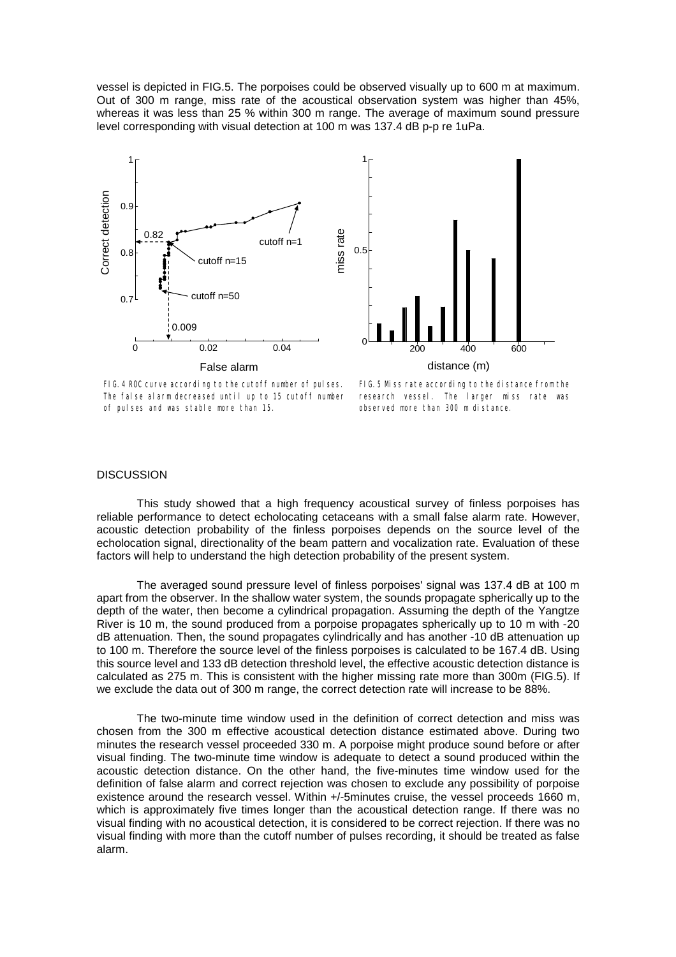vessel is depicted in FIG.5. The porpoises could be observed visually up to 600 m at maximum. Out of 300 m range, miss rate of the acoustical observation system was higher than 45%, whereas it was less than 25 % within 300 m range. The average of maximum sound pressure level corresponding with visual detection at 100 m was 137.4 dB p-p re 1uPa.



FIG.4 ROC curve according to the cutoff number of pulses. The false alarm decreased until up to 15 cutoff number of pulses and was stable more than 15.

FIG.5 Miss rate according to the distance from the research vessel. The larger miss rate was observed more than 300 m distance.

#### **DISCUSSION**

This study showed that a high frequency acoustical survey of finless porpoises has reliable performance to detect echolocating cetaceans with a small false alarm rate. However, acoustic detection probability of the finless porpoises depends on the source level of the echolocation signal, directionality of the beam pattern and vocalization rate. Evaluation of these factors will help to understand the high detection probability of the present system.

The averaged sound pressure level of finless porpoises' signal was 137.4 dB at 100 m apart from the observer. In the shallow water system, the sounds propagate spherically up to the depth of the water, then become a cylindrical propagation. Assuming the depth of the Yangtze River is 10 m, the sound produced from a porpoise propagates spherically up to 10 m with -20 dB attenuation. Then, the sound propagates cylindrically and has another -10 dB attenuation up to 100 m. Therefore the source level of the finless porpoises is calculated to be 167.4 dB. Using this source level and 133 dB detection threshold level, the effective acoustic detection distance is calculated as 275 m. This is consistent with the higher missing rate more than 300m (FIG.5). If we exclude the data out of 300 m range, the correct detection rate will increase to be 88%.

The two-minute time window used in the definition of correct detection and miss was chosen from the 300 m effective acoustical detection distance estimated above. During two minutes the research vessel proceeded 330 m. A porpoise might produce sound before or after visual finding. The two-minute time window is adequate to detect a sound produced within the acoustic detection distance. On the other hand, the five-minutes time window used for the definition of false alarm and correct rejection was chosen to exclude any possibility of porpoise existence around the research vessel. Within +/-5minutes cruise, the vessel proceeds 1660 m, which is approximately five times longer than the acoustical detection range. If there was no visual finding with no acoustical detection, it is considered to be correct rejection. If there was no visual finding with more than the cutoff number of pulses recording, it should be treated as false alarm.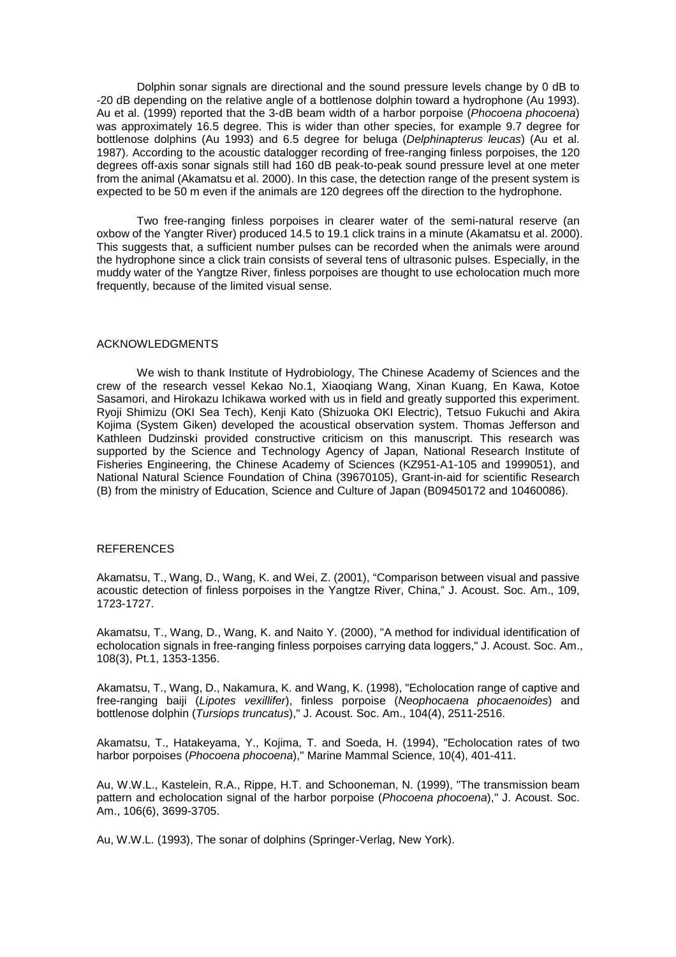Dolphin sonar signals are directional and the sound pressure levels change by 0 dB to -20 dB depending on the relative angle of a bottlenose dolphin toward a hydrophone (Au 1993). Au et al. (1999) reported that the 3-dB beam width of a harbor porpoise (*Phocoena phocoena*) was approximately 16.5 degree. This is wider than other species, for example 9.7 degree for bottlenose dolphins (Au 1993) and 6.5 degree for beluga (*Delphinapterus leucas*) (Au et al. 1987). According to the acoustic datalogger recording of free-ranging finless porpoises, the 120 degrees off-axis sonar signals still had 160 dB peak-to-peak sound pressure level at one meter from the animal (Akamatsu et al. 2000). In this case, the detection range of the present system is expected to be 50 m even if the animals are 120 degrees off the direction to the hydrophone.

Two free-ranging finless porpoises in clearer water of the semi-natural reserve (an oxbow of the Yangter River) produced 14.5 to 19.1 click trains in a minute (Akamatsu et al. 2000). This suggests that, a sufficient number pulses can be recorded when the animals were around the hydrophone since a click train consists of several tens of ultrasonic pulses. Especially, in the muddy water of the Yangtze River, finless porpoises are thought to use echolocation much more frequently, because of the limited visual sense.

## ACKNOWLEDGMENTS

We wish to thank Institute of Hydrobiology, The Chinese Academy of Sciences and the crew of the research vessel Kekao No.1, Xiaoqiang Wang, Xinan Kuang, En Kawa, Kotoe Sasamori, and Hirokazu Ichikawa worked with us in field and greatly supported this experiment. Ryoji Shimizu (OKI Sea Tech), Kenji Kato (Shizuoka OKI Electric), Tetsuo Fukuchi and Akira Kojima (System Giken) developed the acoustical observation system. Thomas Jefferson and Kathleen Dudzinski provided constructive criticism on this manuscript. This research was supported by the Science and Technology Agency of Japan, National Research Institute of Fisheries Engineering, the Chinese Academy of Sciences (KZ951-A1-105 and 1999051), and National Natural Science Foundation of China (39670105), Grant-in-aid for scientific Research (B) from the ministry of Education, Science and Culture of Japan (B09450172 and 10460086).

#### REFERENCES

Akamatsu, T., Wang, D., Wang, K. and Wei, Z. (2001), "Comparison between visual and passive acoustic detection of finless porpoises in the Yangtze River, China," J. Acoust. Soc. Am., 109, 1723-1727.

Akamatsu, T., Wang, D., Wang, K. and Naito Y. (2000), "A method for individual identification of echolocation signals in free-ranging finless porpoises carrying data loggers," J. Acoust. Soc. Am., 108(3), Pt.1, 1353-1356.

Akamatsu, T., Wang, D., Nakamura, K. and Wang, K. (1998), "Echolocation range of captive and free-ranging baiji (*Lipotes vexillifer*), finless porpoise (*Neophocaena phocaenoides*) and bottlenose dolphin (*Tursiops truncatus*)," J. Acoust. Soc. Am., 104(4), 2511-2516.

Akamatsu, T., Hatakeyama, Y., Kojima, T. and Soeda, H. (1994), "Echolocation rates of two harbor porpoises (*Phocoena phocoena*)," Marine Mammal Science, 10(4), 401-411.

Au, W.W.L., Kastelein, R.A., Rippe, H.T. and Schooneman, N. (1999), "The transmission beam pattern and echolocation signal of the harbor porpoise (*Phocoena phocoena*)," J. Acoust. Soc. Am., 106(6), 3699-3705.

Au, W.W.L. (1993), The sonar of dolphins (Springer-Verlag, New York).